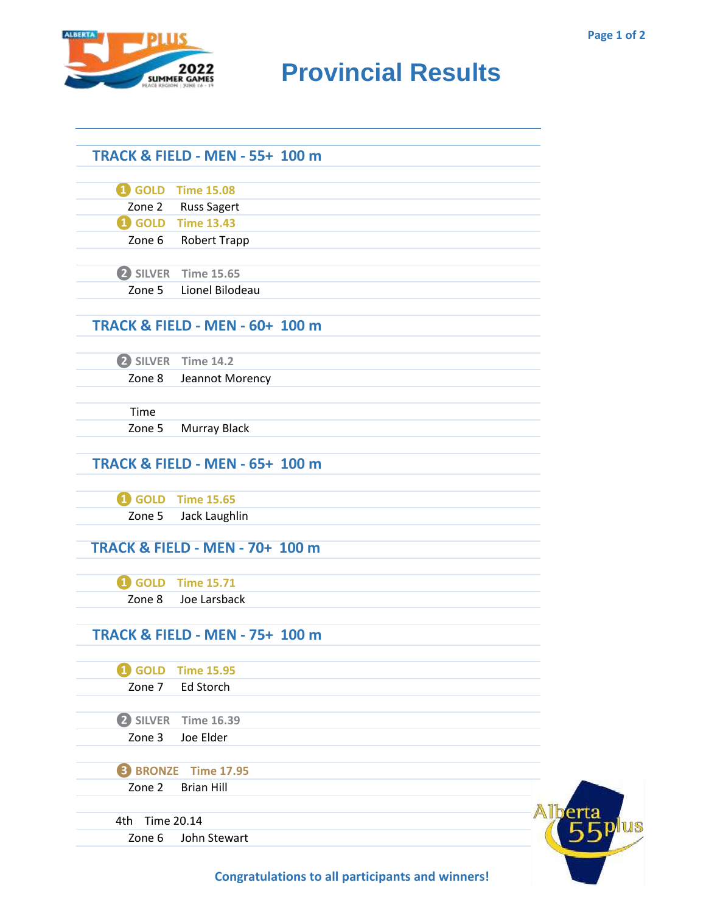**Eplus** 



## **RUMARE 2022** Provincial Results

|                | <b>TRACK &amp; FIELD - MEN - 55+ 100 m</b> |  |
|----------------|--------------------------------------------|--|
|                |                                            |  |
|                | <b>1</b> GOLD Time 15.08                   |  |
|                | Zone 2 Russ Sagert                         |  |
|                | <b>1</b> GOLD Time 13.43                   |  |
|                | Zone 6 Robert Trapp                        |  |
|                |                                            |  |
|                | 2 SILVER Time 15.65                        |  |
|                | Zone 5 Lionel Bilodeau                     |  |
|                |                                            |  |
|                | <b>TRACK &amp; FIELD - MEN - 60+ 100 m</b> |  |
|                |                                            |  |
|                | 2 SILVER Time 14.2                         |  |
|                | Zone 8 Jeannot Morency                     |  |
|                |                                            |  |
| Time           |                                            |  |
| Zone 5         | Murray Black                               |  |
|                |                                            |  |
|                | <b>TRACK &amp; FIELD - MEN - 65+ 100 m</b> |  |
|                |                                            |  |
|                | <b>1</b> GOLD Time 15.65                   |  |
| Zone 5         | Jack Laughlin                              |  |
|                |                                            |  |
|                | <b>TRACK &amp; FIELD - MEN - 70+ 100 m</b> |  |
|                |                                            |  |
|                | <b>1</b> GOLD Time 15.71                   |  |
| Zone 8         | Joe Larsback                               |  |
|                |                                            |  |
|                | <b>TRACK &amp; FIELD - MEN - 75+ 100 m</b> |  |
|                |                                            |  |
| <b>1</b> GOLD  | <b>Time 15.95</b>                          |  |
| Zone 7         | Ed Storch                                  |  |
|                |                                            |  |
|                | 2 SILVER Time 16.39                        |  |
| Zone 3         | Joe Elder                                  |  |
|                |                                            |  |
|                | <b>B</b> BRONZE Time 17.95                 |  |
| Zone 2         | <b>Brian Hill</b>                          |  |
|                |                                            |  |
| 4th Time 20.14 |                                            |  |
| Zone 6         | John Stewart                               |  |
|                |                                            |  |
|                |                                            |  |

**Congratulations to all participants and winners!**